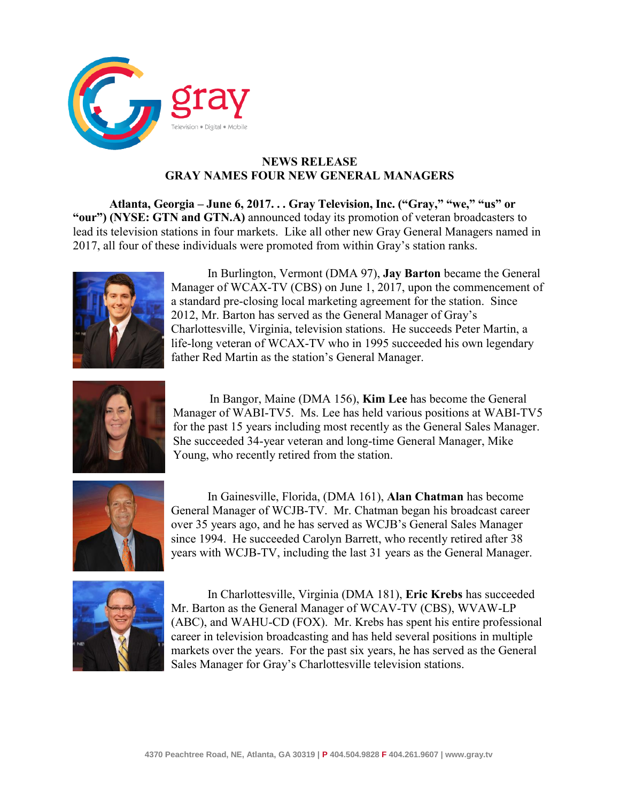

## **NEWS RELEASE GRAY NAMES FOUR NEW GENERAL MANAGERS**

**Atlanta, Georgia – June 6, 2017. . . Gray Television, Inc. ("Gray," "we," "us" or "our") (NYSE: GTN and GTN.A)** announced today its promotion of veteran broadcasters to lead its television stations in four markets. Like all other new Gray General Managers named in 2017, all four of these individuals were promoted from within Gray's station ranks.



In Burlington, Vermont (DMA 97), **Jay Barton** became the General Manager of WCAX-TV (CBS) on June 1, 2017, upon the commencement of a standard pre-closing local marketing agreement for the station. Since 2012, Mr. Barton has served as the General Manager of Gray's Charlottesville, Virginia, television stations. He succeeds Peter Martin, a life-long veteran of WCAX-TV who in 1995 succeeded his own legendary father Red Martin as the station's General Manager.



In Bangor, Maine (DMA 156), **Kim Lee** has become the General Manager of WABI-TV5. Ms. Lee has held various positions at WABI-TV5 for the past 15 years including most recently as the General Sales Manager. She succeeded 34-year veteran and long-time General Manager, Mike Young, who recently retired from the station.



In Gainesville, Florida, (DMA 161), **Alan Chatman** has become General Manager of WCJB-TV. Mr. Chatman began his broadcast career over 35 years ago, and he has served as WCJB's General Sales Manager since 1994. He succeeded Carolyn Barrett, who recently retired after 38 years with WCJB-TV, including the last 31 years as the General Manager.



In Charlottesville, Virginia (DMA 181), **Eric Krebs** has succeeded Mr. Barton as the General Manager of WCAV-TV (CBS), WVAW-LP (ABC), and WAHU-CD (FOX). Mr. Krebs has spent his entire professional career in television broadcasting and has held several positions in multiple markets over the years. For the past six years, he has served as the General Sales Manager for Gray's Charlottesville television stations.